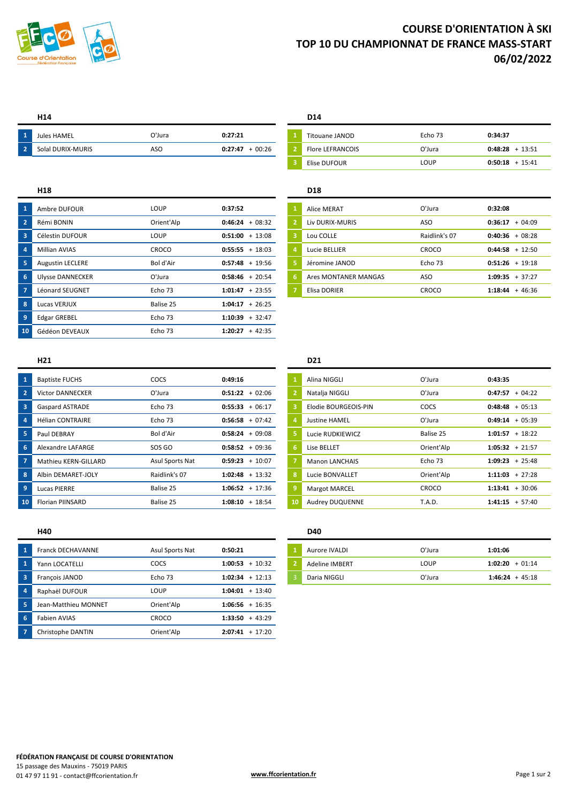

# **COURSE D'ORIENTATION À SKI TOP 10 DU CHAMPIONNAT DE FRANCE MASS-START 06/02/2022**

| $\overline{2}$<br><b>Flore LEFRANCOIS</b><br><b>DURIX-MURIS</b><br>0:48:28<br>0:27:47<br>Solal | - 1 | Jules HAMEL | O'Jura | 0:27:21 | Titouane JANOD | -<br>Echo 73 | 0:34:37        |
|------------------------------------------------------------------------------------------------|-----|-------------|--------|---------|----------------|--------------|----------------|
|                                                                                                |     |             | ASO    | 00:26   |                | ว'Jura       | 13.51<br>13.JI |

| $\overline{1}$          | Ambre DUFOUR            | LOUP       | 0:37:52           | <b>Alice MERAT</b>   | O'Jura        | 0:32:08             |
|-------------------------|-------------------------|------------|-------------------|----------------------|---------------|---------------------|
| $\overline{2}$          | Rémi BONIN              | Orient'Alp | $0:46:24 + 08:32$ | Liv DURIX-MURIS      | ASO           | $+04:09$<br>0:36:17 |
| $\overline{\mathbf{3}}$ | Célestin DUFOUR         | LOUP       | $0:51:00 + 13:08$ | Lou COLLE            | Raidlink's 07 | $0:40:36 + 08:28$   |
| $\overline{4}$          | Millian AVIAS           | CROCO      | $0:55:55 + 18:03$ | Lucie BELLIER        | CROCO         | $0:44:58 + 12:50$   |
| $\overline{\mathbf{5}}$ | <b>Augustin LECLERE</b> | Bol d'Air  | $0:57:48 + 19:56$ | Jéromine JANOD       | Echo 73       | $0:51:26 + 19:18$   |
| $-6$                    | <b>Ulysse DANNECKER</b> | O'Jura     | $0:58:46 + 20:54$ | Ares MONTANER MANGAS | <b>ASO</b>    | $1:09:35 + 37:27$   |
| $\overline{7}$          | Léonard SEUGNET         | Echo 73    | $1:01:47 + 23:55$ | Elisa DORIER         | CROCO         | $1:18:44 + 46:36$   |
| $\overline{\mathbf{8}}$ | Lucas VERJUX            | Balise 25  | $1:04:17 + 26:25$ |                      |               |                     |
| -9                      | <b>Edgar GREBEL</b>     | Echo 73    | $1:10:39 + 32:47$ |                      |               |                     |
| 10 <sup>1</sup>         | Gédéon DEVEAUX          | Echo 73    | $1:20:27 + 42:35$ |                      |               |                     |

### **H14 D14**

| Jules HAMEL       | O'Jura | 0:27:21             | Titouane JANOD          | Echo 73 | 0:34:37              |
|-------------------|--------|---------------------|-------------------------|---------|----------------------|
| Solal DURIX-MURIS | ASC    | $-00:26$<br>0:27:47 | <b>Flore LEFRANCOIS</b> | O'Jura  | 0:48:28<br>$+13:51$  |
|                   |        |                     | Elise DUFOUR            | LOUP    | 0:50:18<br>$+ 15:41$ |

## **H18 D18**

| $\mathbf{1}$   | Alice MERAT          | O'Jura        | 0:32:08             |
|----------------|----------------------|---------------|---------------------|
| $\overline{2}$ | Liv DURIX-MURIS      | ASO           | 0:36:17<br>$+04:09$ |
| з              | Lou COLLE            | Raidlink's 07 | 0:40:36<br>$+08:28$ |
| 4              | Lucie BELLIER        | CROCO         | 0:44:58<br>$+12:50$ |
| 5              | Jéromine JANOD       | Echo 73       | $0:51:26 + 19:18$   |
| 6              | Ares MONTANER MANGAS | ASO           | 1:09:35<br>$+37:27$ |
| 7              | Elisa DORIER         | CROCO         | 1:18:44<br>$+46:36$ |

| $\overline{1}$          | <b>Baptiste FUCHS</b>   | COCS            | 0:49:16           |    | Alina NIGGLI           | O'Jura        | 0:43:35              |
|-------------------------|-------------------------|-----------------|-------------------|----|------------------------|---------------|----------------------|
| $\overline{2}$          | <b>Victor DANNECKER</b> | O'Jura          | $0:51:22 + 02:06$ |    | Natalja NIGGLI         | O'Jura        | $0:47:57 + 04:22$    |
| $\overline{\mathbf{3}}$ | <b>Gaspard ASTRADE</b>  | Echo 73         | $0:55:33 + 06:17$ |    | Elodie BOURGEOIS-PIN   | COCS          | $+05:13$<br>0:48:48  |
| $\sqrt{4}$              | <b>Hélian CONTRAIRE</b> | Echo 73         | $0:56:58 + 07:42$ |    | <b>Justine HAMEL</b>   | O'Jura        | $+05:39$<br>0:49:14  |
| 5                       | Paul DEBRAY             | Bol d'Air       | $0:58:24 + 09:08$ |    | Lucie RUDKIEWICZ       | Balise 25     | $1:01:57 + 18:22$    |
| 6                       | Alexandre LAFARGE       | SOS GO          | $0:58:52 + 09:36$ |    | Lise BELLET            | Orient'Alp    | $1:05:32 + 21:57$    |
| $\overline{7}$          | Mathieu KERN-GILLARD    | Asul Sports Nat | $0:59:23 + 10:07$ |    | <b>Manon LANCHAIS</b>  | Echo 73       | $+25:48$<br>1:09:23  |
| $\overline{\mathbf{8}}$ | Albin DEMARET-JOLY      | Raidlink's 07   | $1:02:48 + 13:32$ | 8  | Lucie BONVALLET        | Orient'Alp    | $1:11:03 + 27:28$    |
| $\overline{9}$          | Lucas PIERRE            | Balise 25       | $1:06:52 + 17:36$ |    | <b>Margot MARCEL</b>   | CROCO         | $1:13:41 + 30:06$    |
| 10 <sup>°</sup>         | <b>Florian PIINSARD</b> | Balise 25       | $1:08:10 + 18:54$ | 10 | <b>Audrey DUQUENNE</b> | <b>T.A.D.</b> | $+ 57:40$<br>1:41:15 |

### **H40 D40**

| $\overline{1}$          | <b>Franck DECHAVANNE</b> | Asul Sports Nat | 0:50:21           | Aurore IVALDI         | O'Jura | 1:01:06           |
|-------------------------|--------------------------|-----------------|-------------------|-----------------------|--------|-------------------|
| $\blacksquare$          | Yann LOCATELLI           | COCS            | $1:00:53 + 10:32$ | <b>Adeline IMBERT</b> | LOUP   | $1:02:20 + 01:14$ |
| $\overline{\mathbf{3}}$ | Francois JANOD           | Echo 73         | $1:02:34 + 12:13$ | Daria NIGGLI          | O'Jura | $1:46:24 + 45:18$ |
| $\overline{4}$          | Raphaël DUFOUR           | LOUP            | $1:04:01 + 13:40$ |                       |        |                   |
| - 5                     | Jean-Matthieu MONNET     | Orient'Alp      | $1:06:56 + 16:35$ |                       |        |                   |
| $-6$                    | Fabien AVIAS             | CROCO           | $1:33:50 + 43:29$ |                       |        |                   |
| $\overline{7}$          | Christophe DANTIN        | Orient'Alp      | $2:07:41 + 17:20$ |                       |        |                   |

### **H21 D21**

| $\mathbf{1}$   | Alina NIGGLI           | O'Jura     | 0:43:35              |
|----------------|------------------------|------------|----------------------|
| $\overline{2}$ | Natalja NIGGLI         | O'Jura     | $+04:22$<br>0:47:57  |
| 3              | Elodie BOURGEOIS-PIN   | COCS       | 0:48:48<br>$+05:13$  |
| 4              | <b>Justine HAMEL</b>   | O'Jura     | 0:49:14<br>$+05:39$  |
| 5.             | Lucie RUDKIEWICZ       | Balise 25  | 1:01:57<br>$+18:22$  |
| 6              | Lise BELLET            | Orient'Alp | $1:05:32 + 21:57$    |
| $\overline{7}$ | <b>Manon LANCHAIS</b>  | Echo 73    | 1:09:23<br>$+25:48$  |
| 8              | Lucie BONVALLET        | Orient'Alp | 1:11:03<br>$+27:28$  |
| 9              | <b>Margot MARCEL</b>   | CROCO      | 1:13:41<br>$+30:06$  |
| 10             | <b>Audrey DUQUENNE</b> | T.A.D.     | 1:41:15<br>$+ 57:40$ |

| Aurore IVALDI  | O'Jura      | 1:01:06           |
|----------------|-------------|-------------------|
| Adeline IMBERT | <b>LOUP</b> | $1:02:20 + 01:14$ |
| Daria NIGGLI   | O'Jura      | $1:46:24 + 45:18$ |